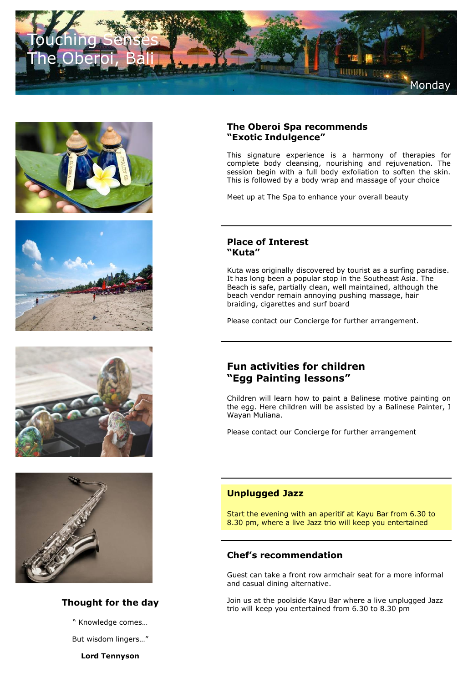









# **Thought for the day**

" Knowledge comes…

But wisdom lingers…"

**Lord Tennyson**

## **The Oberoi Spa recommends "Exotic Indulgence"**

This signature experience is a harmony of therapies for complete body cleansing, nourishing and rejuvenation. The session begin with a full body exfoliation to soften the skin. This is followed by a body wrap and massage of your choice

Meet up at The Spa to enhance your overall beauty

#### **Place of Interest "Kuta"**

Kuta was originally discovered by tourist as a surfing paradise. It has long been a popular stop in the Southeast Asia. The Beach is safe, partially clean, well maintained, although the beach vendor remain annoying pushing massage, hair braiding, cigarettes and surf board

Please contact our Concierge for further arrangement.

# **Fun activities for children "Egg Painting lessons"**

Children will learn how to paint a Balinese motive painting on the egg. Here children will be assisted by a Balinese Painter, I Wayan Muliana.

Please contact our Concierge for further arrangement

# **Unplugged Jazz**

Start the evening with an aperitif at Kayu Bar from 6.30 to 8.30 pm, where a live Jazz trio will keep you entertained

# **Chef's recommendation**

Guest can take a front row armchair seat for a more informal and casual dining alternative.

Join us at the poolside Kayu Bar where a live unplugged Jazz trio will keep you entertained from 6.30 to 8.30 pm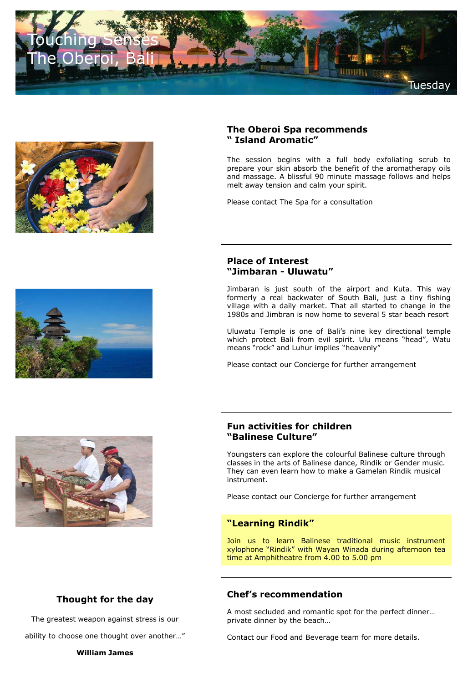



# **The Oberoi Spa recommends " Island Aromatic"**

The session begins with a full body exfoliating scrub to prepare your skin absorb the benefit of the aromatherapy oils and massage. A blissful 90 minute massage follows and helps melt away tension and calm your spirit.

Please contact The Spa for a consultation

# **Place of Interest "Jimbaran - Uluwatu"**

Jimbaran is just south of the airport and Kuta. This way formerly a real backwater of South Bali, just a tiny fishing village with a daily market. That all started to change in the 1980s and Jimbran is now home to several 5 star beach resort

Uluwatu Temple is one of Bali's nine key directional temple which protect Bali from evil spirit. Ulu means "head", Watu means "rock" and Luhur implies "heavenly"

Please contact our Concierge for further arrangement

# **Fun activities for children "Balinese Culture"**

Youngsters can explore the colourful Balinese culture through classes in the arts of Balinese dance, Rindik or Gender music. They can even learn how to make a Gamelan Rindik musical instrument.

Please contact our Concierge for further arrangement

#### **"Learning Rindik"**

Join us to learn Balinese traditional music instrument xylophone "Rindik" with Wayan Winada during afternoon tea time at Amphitheatre from 4.00 to 5.00 pm

# **Thought for the day**

The greatest weapon against stress is our

ability to choose one thought over another…"

#### **William James**

# **Chef's recommendation**

A most secluded and romantic spot for the perfect dinner… private dinner by the beach…

Contact our Food and Beverage team for more details.



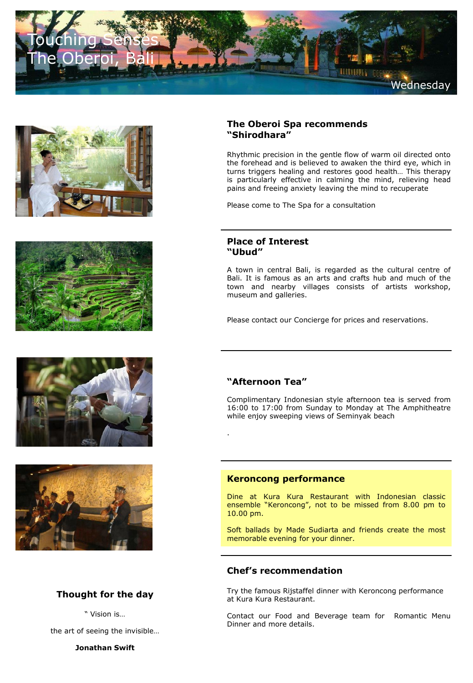









# **Thought for the day**

" Vision is…

the art of seeing the invisible…

**Jonathan Swift**

# **The Oberoi Spa recommends "Shirodhara"**

Rhythmic precision in the gentle flow of warm oil directed onto the forehead and is believed to awaken the third eye, which in turns triggers healing and restores good health… This therapy is particularly effective in calming the mind, relieving head pains and freeing anxiety leaving the mind to recuperate

Please come to The Spa for a consultation

#### **Place of Interest "Ubud"**

A town in central Bali, is regarded as the cultural centre of Bali. It is famous as an arts and crafts hub and much of the town and nearby villages consists of artists workshop, museum and galleries.

Please contact our Concierge for prices and reservations.

# **"Afternoon Tea"**

.

Complimentary Indonesian style afternoon tea is served from 16:00 to 17:00 from Sunday to Monday at The Amphitheatre while enjoy sweeping views of Seminyak beach

#### **Keroncong performance**

Dine at Kura Kura Restaurant with Indonesian classic ensemble "Keroncong", not to be missed from 8.00 pm to 10.00 pm.

Soft ballads by Made Sudiarta and friends create the most memorable evening for your dinner.

## **Chef's recommendation**

Try the famous Rijstaffel dinner with Keroncong performance at Kura Kura Restaurant.

Contact our Food and Beverage team for Romantic Menu Dinner and more details.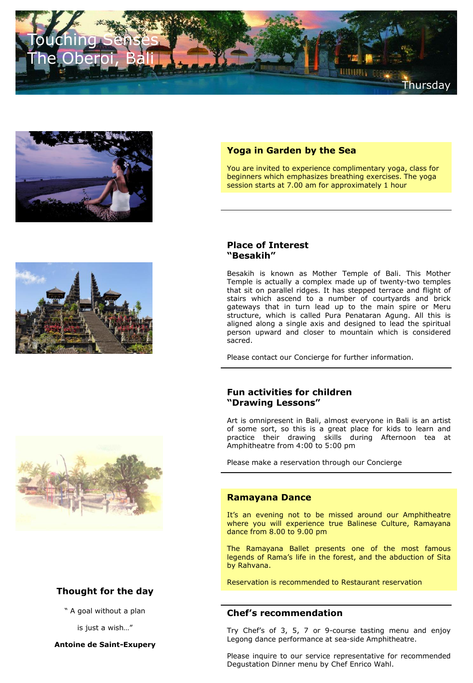





You are invited to experience complimentary yoga, class for beginners which emphasizes breathing exercises. The yoga session starts at 7.00 am for approximately 1 hour



# **Thought for the day**

" A goal without a plan

is just a wish…"

**Antoine de Saint-Exupery**

#### **Place of Interest "Besakih"**

Besakih is known as Mother Temple of Bali. This Mother Temple is actually a complex made up of twenty-two temples that sit on parallel ridges. It has stepped terrace and flight of stairs which ascend to a number of courtyards and brick gateways that in turn lead up to the main spire or Meru structure, which is called Pura Penataran Agung. All this is aligned along a single axis and designed to lead the spiritual person upward and closer to mountain which is considered sacred.

Please contact our Concierge for further information.

# **Fun activities for children "Drawing Lessons"**

Art is omnipresent in Bali, almost everyone in Bali is an artist of some sort, so this is a great place for kids to learn and practice their drawing skills during Afternoon tea at Amphitheatre from 4:00 to 5:00 pm

Please make a reservation through our Concierge

#### **Ramayana Dance**

It's an evening not to be missed around our Amphitheatre where you will experience true Balinese Culture, Ramayana dance from 8.00 to 9.00 pm

The Ramayana Ballet presents one of the most famous legends of Rama's life in the forest, and the abduction of Sita by Rahvana.

Reservation is recommended to Restaurant reservation

#### **Chef's recommendation**

Try Chef's of 3, 5, 7 or 9-course tasting menu and enjoy Legong dance performance at sea-side Amphitheatre.

Please inquire to our service representative for recommended Degustation Dinner menu by Chef Enrico Wahl.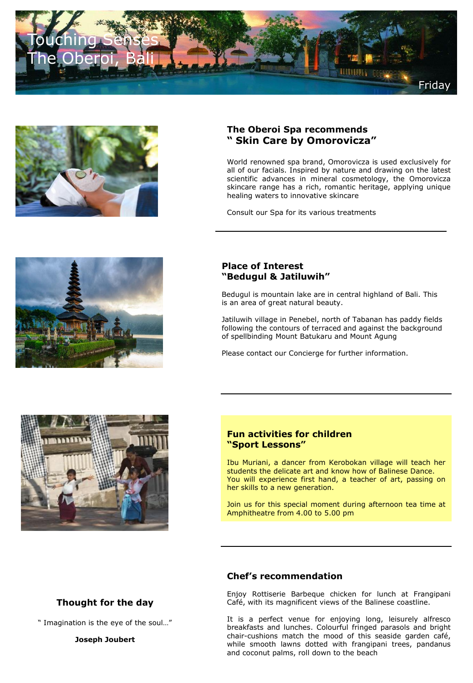



# **The Oberoi Spa recommends " Skin Care by Omorovicza"**

World renowned spa brand, Omorovicza is used exclusively for all of our facials. Inspired by nature and drawing on the latest scientific advances in mineral cosmetology, the Omorovicza skincare range has a rich, romantic heritage, applying unique healing waters to innovative skincare

Consult our Spa for its various treatments



# **Place of Interest "Bedugul & Jatiluwih"**

Bedugul is mountain lake are in central highland of Bali. This is an area of great natural beauty.

Jatiluwih village in Penebel, north of Tabanan has paddy fields following the contours of terraced and against the background of spellbinding Mount Batukaru and Mount Agung

Please contact our Concierge for further information.



## **Fun activities for children "Sport Lessons"**

Ibu Muriani, a dancer from Kerobokan village will teach her students the delicate art and know how of Balinese Dance. You will experience first hand, a teacher of art, passing on her skills to a new generation.

Join us for this special moment during afternoon tea time at Amphitheatre from 4.00 to 5.00 pm

# **Thought for the day**

" Imagination is the eye of the soul…"

**Joseph Joubert**

#### **Chef's recommendation**

Enjoy Rottiserie Barbeque chicken for lunch at Frangipani Café, with its magnificent views of the Balinese coastline.

It is a perfect venue for enjoying long, leisurely alfresco breakfasts and lunches. Colourful fringed parasols and bright chair-cushions match the mood of this seaside garden café, while smooth lawns dotted with frangipani trees, pandanus and coconut palms, roll down to the beach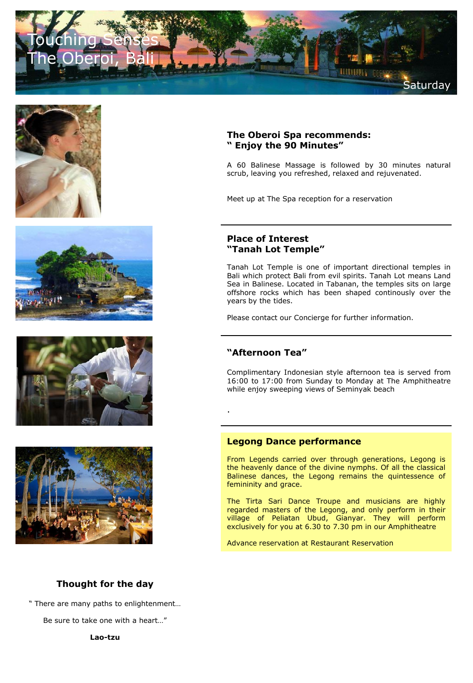









## **The Oberoi Spa recommends: " Enjoy the 90 Minutes"**

A 60 Balinese Massage is followed by 30 minutes natural scrub, leaving you refreshed, relaxed and rejuvenated.

Meet up at The Spa reception for a reservation

# **Place of Interest "Tanah Lot Temple"**

Tanah Lot Temple is one of important directional temples in Bali which protect Bali from evil spirits. Tanah Lot means Land Sea in Balinese. Located in Tabanan, the temples sits on large offshore rocks which has been shaped continously over the years by the tides.

Please contact our Concierge for further information.

# **"Afternoon Tea"**

.

Complimentary Indonesian style afternoon tea is served from 16:00 to 17:00 from Sunday to Monday at The Amphitheatre while enjoy sweeping views of Seminyak beach

#### **Legong Dance performance**

From Legends carried over through generations, Legong is the heavenly dance of the divine nymphs. Of all the classical Balinese dances, the Legong remains the quintessence of femininity and grace.

The Tirta Sari Dance Troupe and musicians are highly regarded masters of the Legong, and only perform in their village of Peliatan Ubud, Gianyar. They will perform exclusively for you at 6.30 to 7.30 pm in our Amphitheatre

Advance reservation at Restaurant Reservation

# **Thought for the day**

" There are many paths to enlightenment…

Be sure to take one with a heart…"

**Lao-tzu**